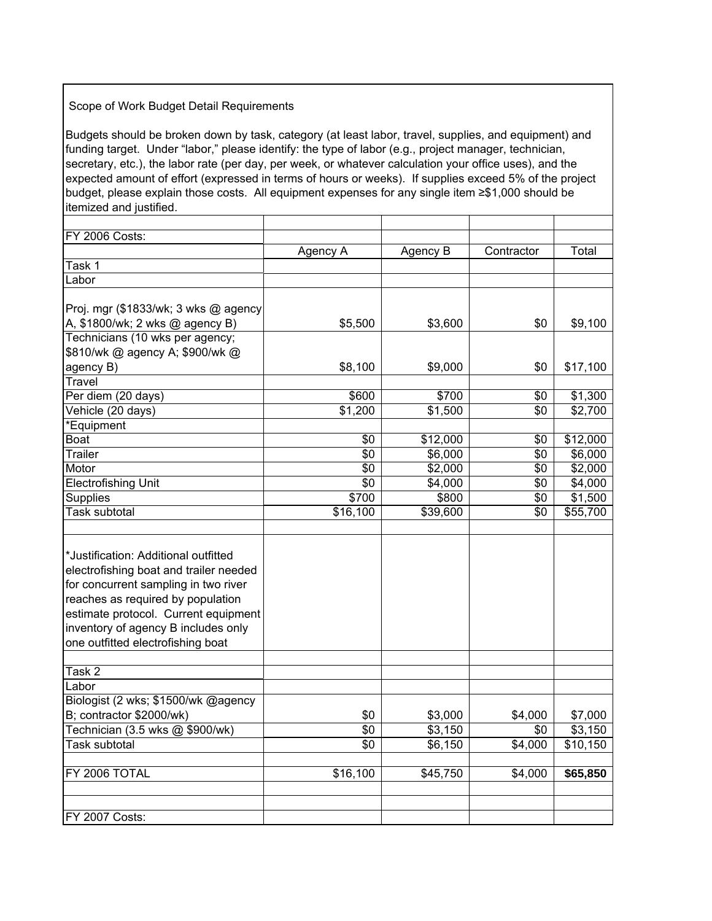## Scope of Work Budget Detail Requirements

Budgets should be broken down by task, category (at least labor, travel, supplies, and equipment) and funding target. Under "labor," please identify: the type of labor (e.g., project manager, technician, secretary, etc.), the labor rate (per day, per week, or whatever calculation your office uses), and the expected amount of effort (expressed in terms of hours or weeks). If supplies exceed 5% of the project budget, please explain those costs. All equipment expenses for any single item ≥\$1,000 should be itemized and justified.

| FY 2006 Costs:                         |                      |          |            |          |
|----------------------------------------|----------------------|----------|------------|----------|
|                                        | Agency A             | Agency B | Contractor | Total    |
| Task 1                                 |                      |          |            |          |
| Labor                                  |                      |          |            |          |
|                                        |                      |          |            |          |
| Proj. mgr (\$1833/wk; 3 wks @ agency   |                      |          |            |          |
| A, \$1800/wk; 2 wks @ agency B)        | \$5,500              | \$3,600  | \$0        | \$9,100  |
| Technicians (10 wks per agency;        |                      |          |            |          |
| \$810/wk @ agency A; \$900/wk @        |                      |          |            |          |
| agency B)                              | \$8,100              | \$9,000  | \$0        | \$17,100 |
| <b>Travel</b>                          |                      |          |            |          |
| Per diem (20 days)                     | \$600                | \$700    | \$0        | \$1,300  |
| Vehicle (20 days)                      | \$1,200              | \$1,500  | \$0        | \$2,700  |
| *Equipment                             |                      |          |            |          |
| <b>Boat</b>                            | \$0                  | \$12,000 | \$0        | \$12,000 |
| <b>Trailer</b>                         | \$0                  | \$6,000  | \$0        | \$6,000  |
| Motor                                  | \$0                  | \$2,000  | \$0        | \$2,000  |
| <b>Electrofishing Unit</b>             | \$0                  | \$4,000  | \$0        | \$4,000  |
| Supplies                               | \$700                | \$800    | \$0        | \$1,500  |
| Task subtotal                          | $\overline{$}16,100$ | \$39,600 | \$0        | \$55,700 |
|                                        |                      |          |            |          |
|                                        |                      |          |            |          |
| *Justification: Additional outfitted   |                      |          |            |          |
| electrofishing boat and trailer needed |                      |          |            |          |
| for concurrent sampling in two river   |                      |          |            |          |
| reaches as required by population      |                      |          |            |          |
| estimate protocol. Current equipment   |                      |          |            |          |
| inventory of agency B includes only    |                      |          |            |          |
| one outfitted electrofishing boat      |                      |          |            |          |
|                                        |                      |          |            |          |
| Task 2                                 |                      |          |            |          |
| Labor                                  |                      |          |            |          |
| Biologist (2 wks; \$1500/wk @agency    |                      |          |            |          |
| B; contractor \$2000/wk)               | \$0                  | \$3,000  | \$4,000    | \$7,000  |
| Technician (3.5 wks @ \$900/wk)        | \$0                  | \$3,150  | \$0        | \$3,150  |
| <b>Task subtotal</b>                   | $\overline{50}$      | \$6,150  | \$4,000    | \$10,150 |
|                                        |                      |          |            |          |
| FY 2006 TOTAL                          | \$16,100             | \$45,750 | \$4,000    | \$65,850 |
|                                        |                      |          |            |          |
|                                        |                      |          |            |          |
| <b>FY 2007 Costs:</b>                  |                      |          |            |          |